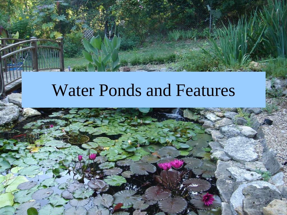### Water Ponds and Features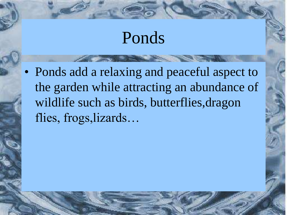#### Ponds

• Ponds add a relaxing and peaceful aspect to the garden while attracting an abundance of wildlife such as birds, butterflies, dragon flies, frogs,lizards…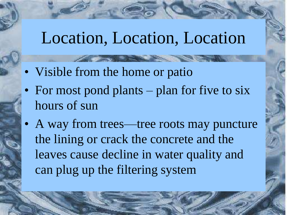### Location, Location, Location

- Visible from the home or patio
- For most pond plants plan for five to six hours of sun
- A way from trees—tree roots may puncture the lining or crack the concrete and the leaves cause decline in water quality and can plug up the filtering system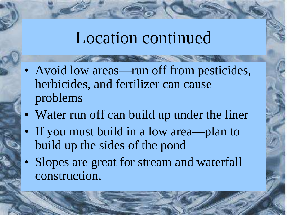### Location continued

- Avoid low areas—run off from pesticides, herbicides, and fertilizer can cause problems
- Water run off can build up under the liner
- If you must build in a low area—plan to build up the sides of the pond
- Slopes are great for stream and waterfall construction.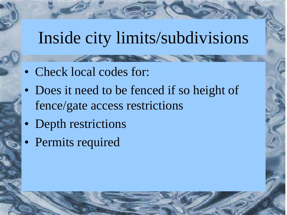### Inside city limits/subdivisions

- Check local codes for:
- Does it need to be fenced if so height of fence/gate access restrictions
- Depth restrictions
- Permits required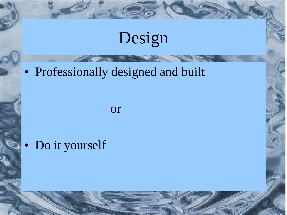## Design

#### • Professionally designed and built

or

• Do it yourself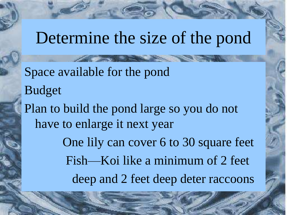#### Determine the size of the pond

Space available for the pond Budget Plan to build the pond large so you do not have to enlarge it next year One lily can cover 6 to 30 square feet Fish—Koi like a minimum of 2 feet deep and 2 feet deep deter raccoons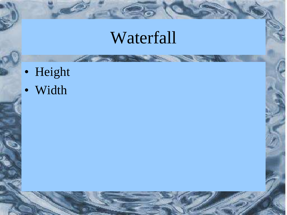## Waterfall

- Height
- Width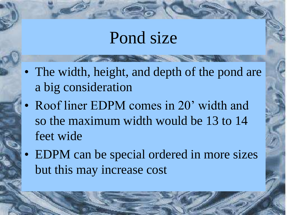#### Pond size

- The width, height, and depth of the pond are a big consideration
- Roof liner EDPM comes in 20' width and so the maximum width would be 13 to 14 feet wide
- EDPM can be special ordered in more sizes but this may increase cost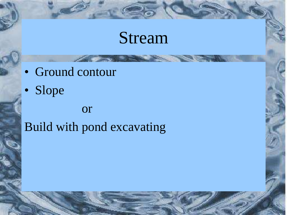### Stream

- Ground contour
- Slope

#### or Build with pond excavating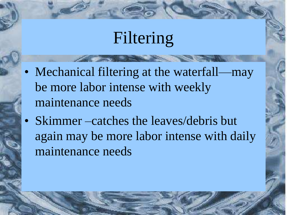### Filtering

- Mechanical filtering at the waterfall—may be more labor intense with weekly maintenance needs
- Skimmer –catches the leaves/debris but again may be more labor intense with daily maintenance needs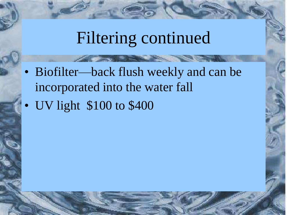## Filtering continued

- Biofilter—back flush weekly and can be incorporated into the water fall
- UV light \$100 to \$400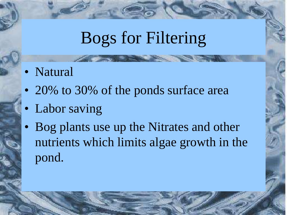## Bogs for Filtering

- Natural
- 20% to 30% of the ponds surface area
- Labor saving
- Bog plants use up the Nitrates and other nutrients which limits algae growth in the pond.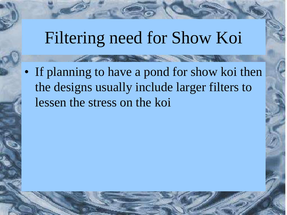### Filtering need for Show Koi

• If planning to have a pond for show koi then the designs usually include larger filters to lessen the stress on the koi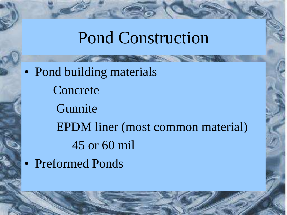### Pond Construction

• Pond building materials Concrete **Gunnite** EPDM liner (most common material) 45 or 60 mil • Preformed Ponds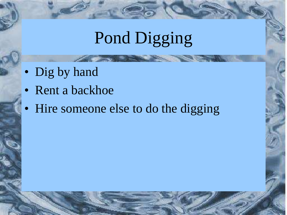## Pond Digging

- Dig by hand
- Rent a backhoe
- Hire someone else to do the digging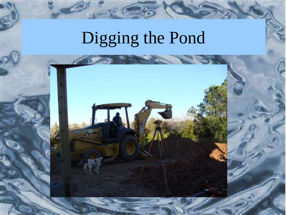## Digging the Pond

E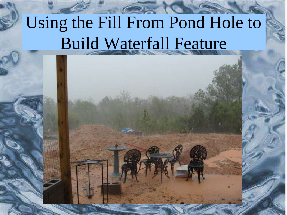## Using the Fill From Pond Hole to Build Waterfall Feature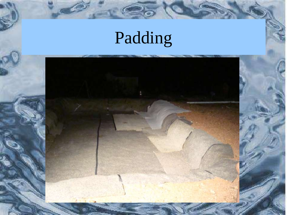# Padding

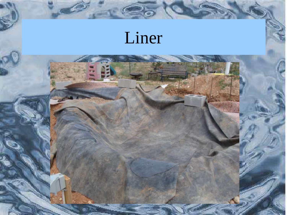## Liner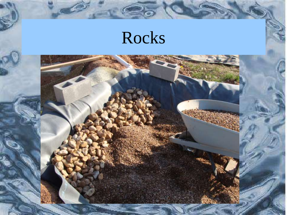## Rocks

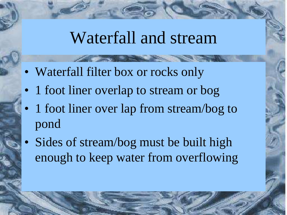#### Waterfall and stream

- Waterfall filter box or rocks only
- 1 foot liner overlap to stream or bog
- 1 foot liner over lap from stream/bog to pond
- Sides of stream/bog must be built high enough to keep water from overflowing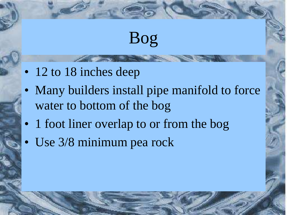## Bog

- 12 to 18 inches deep
- Many builders install pipe manifold to force water to bottom of the bog
- 1 foot liner overlap to or from the bog
- Use 3/8 minimum pea rock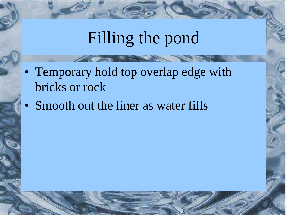## Filling the pond

- Temporary hold top overlap edge with bricks or rock
- Smooth out the liner as water fills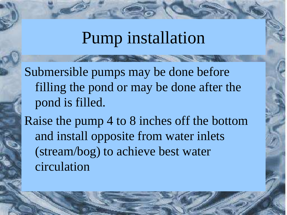### Pump installation

Submersible pumps may be done before filling the pond or may be done after the pond is filled.

Raise the pump 4 to 8 inches off the bottom and install opposite from water inlets (stream/bog) to achieve best water circulation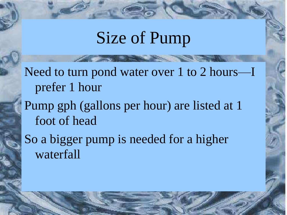## Size of Pump

Need to turn pond water over 1 to 2 hours—I prefer 1 hour

Pump gph (gallons per hour) are listed at 1 foot of head

So a bigger pump is needed for a higher waterfall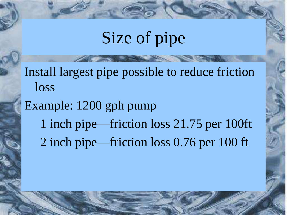## Size of pipe

Install largest pipe possible to reduce friction loss

Example: 1200 gph pump

- 1 inch pipe—friction loss 21.75 per 100ft
- 2 inch pipe—friction loss 0.76 per 100 ft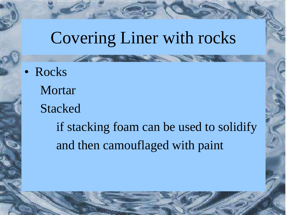## Covering Liner with rocks

• Rocks Mortar Stacked if stacking foam can be used to solidify and then camouflaged with paint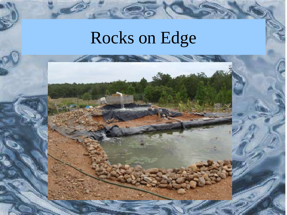## Rocks on Edge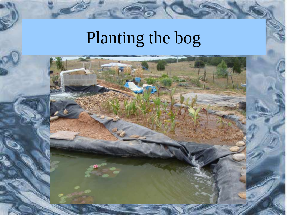# Planting the bog

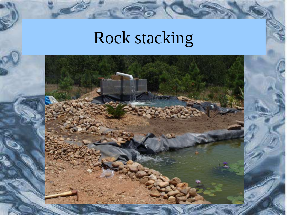## Rock stacking

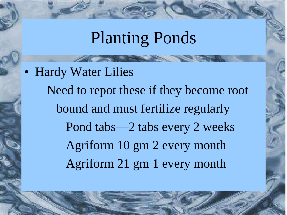### Planting Ponds

• Hardy Water Lilies Need to repot these if they become root bound and must fertilize regularly Pond tabs—2 tabs every 2 weeks Agriform 10 gm 2 every month Agriform 21 gm 1 every month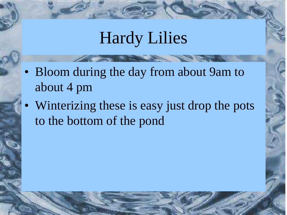### Hardy Lilies

- Bloom during the day from about 9am to about 4 pm
- Winterizing these is easy just drop the pots to the bottom of the pond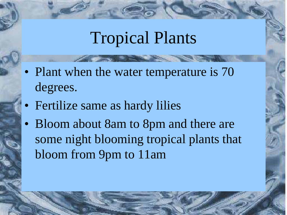## Tropical Plants

- Plant when the water temperature is 70 degrees.
- Fertilize same as hardy lilies
- Bloom about 8am to 8pm and there are some night blooming tropical plants that bloom from 9pm to 11am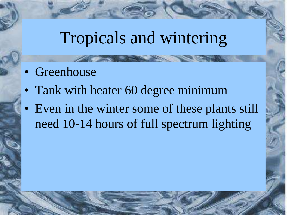### Tropicals and wintering

- Greenhouse
- Tank with heater 60 degree minimum
- Even in the winter some of these plants still need 10-14 hours of full spectrum lighting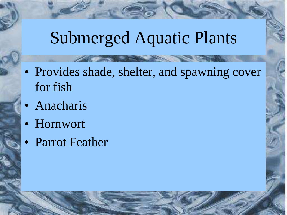### Submerged Aquatic Plants

- Provides shade, shelter, and spawning cover for fish
- **Anacharis**
- Hornwort
- Parrot Feather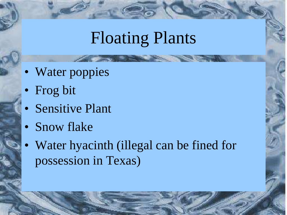## Floating Plants

- Water poppies
- Frog bit
- Sensitive Plant
- Snow flake
- Water hyacinth (illegal can be fined for possession in Texas)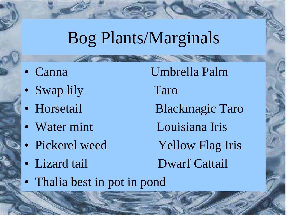## Bog Plants/Marginals

- 
- Swap lily Taro
- 
- 
- 
- 

• Canna Umbrella Palm • Horsetail Blackmagic Taro • Water mint Louisiana Iris • Pickerel weed Yellow Flag Iris • Lizard tail Dwarf Cattail

• Thalia best in pot in pond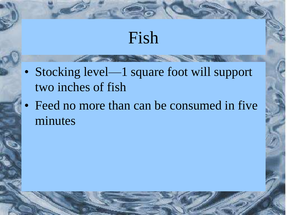### Fish

- Stocking level—1 square foot will support two inches of fish
- Feed no more than can be consumed in five minutes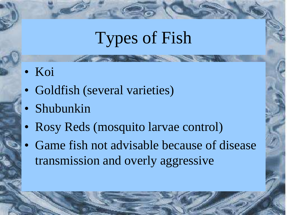## Types of Fish

- Koi
- Goldfish (several varieties)
- Shubunkin
- Rosy Reds (mosquito larvae control)
- Game fish not advisable because of disease transmission and overly aggressive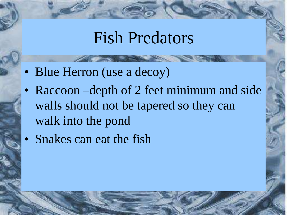#### Fish Predators

- Blue Herron (use a decoy)
- Raccoon –depth of 2 feet minimum and side walls should not be tapered so they can walk into the pond
- Snakes can eat the fish